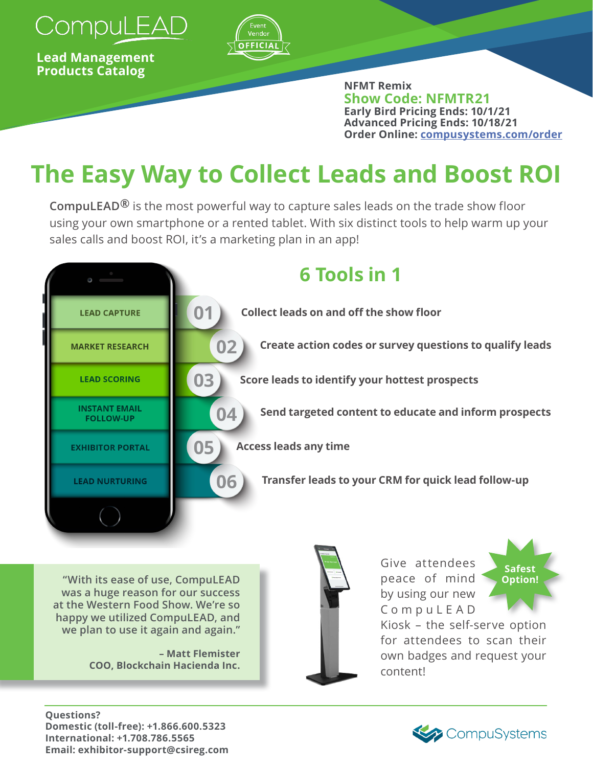

**Lead Management Products Catalog** 



**NFMT Remix Show Code: NFMTR21 Early Bird Pricing Ends: 10/1/21 Advanced Pricing Ends: 10/18/21 Order Online: [compusystems.com/order](https://www.compusystems.com/order/?e=NFMTR21)**

# **The Easy Way to Collect Leads and Boost ROI**

**CompuLEAD®** is the most powerful way to capture sales leads on the trade show floor using your own smartphone or a rented tablet. With six distinct tools to help warm up your sales calls and boost ROI, it's a marketing plan in an app!



**"With its ease of use, CompuLEAD was a huge reason for our success at the Western Food Show. We're so happy we utilized CompuLEAD, and we plan to use it again and again."**

> **– Matt Flemister COO, Blockchain Hacienda Inc.**



Give attendees peace of mind by using our new C o m p u L E A D



Kiosk – the self-serve option for attendees to scan their own badges and request your content!

**Questions? Domestic (toll-free): +1.866.600.5323 International: +1.708.786.5565 Email: exhibitor-support@csireg.com**

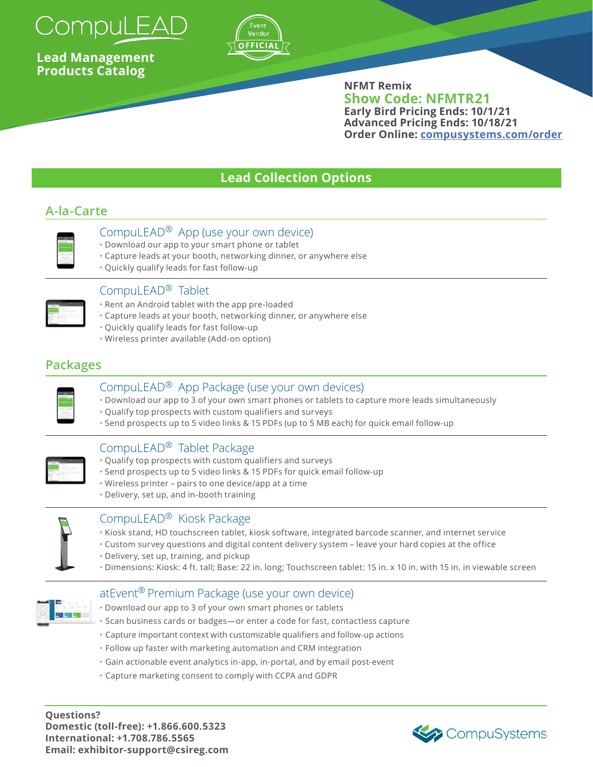

### **Lead Management Products Catalog**



**NFMT Remix Show Code: NFMTR21 Early Bird Pricing Ends: 10/1/21 Advanced Pricing Ends: 10/18/21 Order Online: [compusystems.com/order](https://www.compusystems.com/order/?e=NFMTR21)**

# **Lead Collection Options**

# **A-la-Carte**



# CompuLEAD® App (use your own device)

- Download our app to your smart phone or tablet
- Capture leads at your booth, networking dinner, or anywhere else
- Quickly qualify leads for fast follow-up

|   | $\sim$                   |  |
|---|--------------------------|--|
| ï | -<br>$\sim$<br>--        |  |
|   | ٠<br>$\sim$              |  |
|   | ٠<br>٠                   |  |
|   |                          |  |
|   | 1.11                     |  |
|   | ٠<br>$\sim$<br>٠<br>---- |  |
|   | ------<br>٠<br>----      |  |
|   | ٠<br>. .                 |  |

#### CompuLEAD® Tablet

- Rent an Android tablet with the app pre-loaded
- Capture leads at your booth, networking dinner, or anywhere else
- Quickly qualify leads for fast follow-up
- Wireless printer available (Add-on option)

# **Packages**

| Ala San Wil |  |
|-------------|--|
|             |  |
|             |  |
|             |  |
|             |  |
|             |  |
|             |  |
|             |  |

#### CompuLEAD® App Package (use your own devices)

- Download our app to 3 of your own smart phones or tablets to capture more leads simultaneously
- Qualify top prospects with custom qualifiers and surveys
- Send prospects up to 5 video links & 15 PDFs (up to 5 MB each) for quick email follow-up

#### CompuLEAD® Tablet Package

- Qualify top prospects with custom qualifiers and surveys
- Send prospects up to 5 video links & 15 PDFs for quick email follow-up
- Wireless printer pairs to one device/app at a time
- Delivery, set up, and in-booth training

#### CompuLEAD® Kiosk Package

- Kiosk stand, HD touchscreen tablet, kiosk software, integrated barcode scanner, and internet service
- Custom survey questions and digital content delivery system leave your hard copies at the office
- Delivery, set up, training, and pickup
- Dimensions: Kiosk: 4 ft. tall; Base: 22 in. long; Touchscreen tablet: 15 in. x 10 in. with 15 in. in viewable screen

#### atEvent® Premium Package (use your own device)

- Download our app to 3 of your own smart phones or tablets
- Scan business cards or badges—or enter a code for fast, contactless capture
- Capture important context with customizable qualifiers and follow-up actions
- Follow up faster with marketing automation and CRM integration
- Gain actionable event analytics in-app, in-portal, and by email post-event
- Capture marketing consent to comply with CCPA and GDPR

**Questions? Domestic (toll-free): +1.866.600.5323 International: +1.708.786.5565 Email: exhibitor-support@csireg.com**